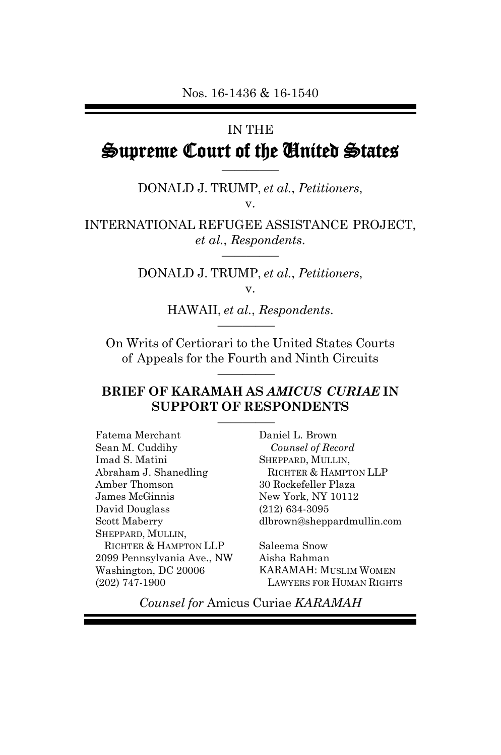# IN THE Supreme Court of the United States

DONALD J. TRUMP, *et al.*, *Petitioners*, v.

————–

INTERNATIONAL REFUGEE ASSISTANCE PROJECT, *et al.*, *Respondents*. ————–

> DONALD J. TRUMP, *et al.*, *Petitioners*, v.

> > HAWAII, *et al.*, *Respondents*. ————–

On Writs of Certiorari to the United States Courts of Appeals for the Fourth and Ninth Circuits

————–

#### **BRIEF OF KARAMAH AS** *AMICUS CURIAE* **IN SUPPORT OF RESPONDENTS**

————–

Fatema Merchant Sean M. Cuddihy Imad S. Matini Abraham J. Shanedling Amber Thomson James McGinnis David Douglass Scott Maberry SHEPPARD, MULLIN, RICHTER & HAMPTON LLP 2099 Pennsylvania Ave., NW Washington, DC 20006 (202) 747-1900

Daniel L. Brown *Counsel of Record* SHEPPARD, MULLIN, RICHTER & HAMPTON LLP 30 Rockefeller Plaza New York, NY 10112 (212) 634-3095 dlbrown@sheppardmullin.com

Saleema Snow Aisha Rahman KARAMAH: MUSLIM WOMEN LAWYERS FOR HUMAN RIGHTS

*Counsel for* Amicus Curiae *KARAMAH*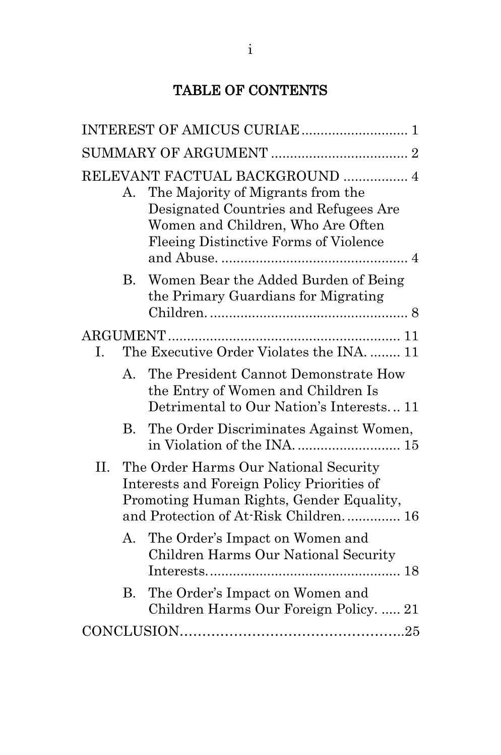## TABLE OF CONTENTS

|          | А.                                                                                                                                                                         | RELEVANT FACTUAL BACKGROUND  4<br>The Majority of Migrants from the<br>Designated Countries and Refugees Are<br>Women and Children, Who Are Often<br>Fleeing Distinctive Forms of Violence |  |  |
|----------|----------------------------------------------------------------------------------------------------------------------------------------------------------------------------|--------------------------------------------------------------------------------------------------------------------------------------------------------------------------------------------|--|--|
|          | <b>B.</b>                                                                                                                                                                  | Women Bear the Added Burden of Being<br>the Primary Guardians for Migrating                                                                                                                |  |  |
| ARGUMENT |                                                                                                                                                                            |                                                                                                                                                                                            |  |  |
| Ι.       | The Executive Order Violates the INA 11                                                                                                                                    |                                                                                                                                                                                            |  |  |
|          | A.                                                                                                                                                                         | The President Cannot Demonstrate How<br>the Entry of Women and Children Is<br>Detrimental to Our Nation's Interests 11                                                                     |  |  |
|          |                                                                                                                                                                            | B. The Order Discriminates Against Women,<br>in Violation of the INA 15                                                                                                                    |  |  |
| II.      | The Order Harms Our National Security<br>Interests and Foreign Policy Priorities of<br>Promoting Human Rights, Gender Equality,<br>and Protection of At-Risk Children.  16 |                                                                                                                                                                                            |  |  |
|          | А.                                                                                                                                                                         | The Order's Impact on Women and<br>Children Harms Our National Security                                                                                                                    |  |  |
|          | В.                                                                                                                                                                         | The Order's Impact on Women and<br>Children Harms Our Foreign Policy.  21                                                                                                                  |  |  |
|          |                                                                                                                                                                            |                                                                                                                                                                                            |  |  |
|          |                                                                                                                                                                            |                                                                                                                                                                                            |  |  |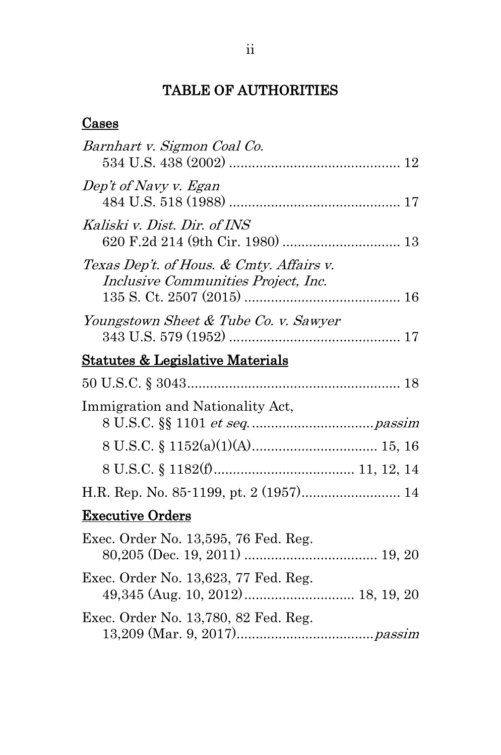## TABLE OF AUTHORITIES

#### **Cases**

| Barnhart v. Sigmon Coal Co.                                                     |
|---------------------------------------------------------------------------------|
| Dep't of Navy v. Egan                                                           |
| Kaliski v. Dist. Dir. of INS                                                    |
| Texas Dep't. of Hous. & Cmty. Affairs v.<br>Inclusive Communities Project, Inc. |
| Youngstown Sheet & Tube Co. v. Sawyer                                           |
| <u>Statutes &amp; Legislative Materials</u>                                     |
|                                                                                 |
| Immigration and Nationality Act,                                                |
|                                                                                 |
|                                                                                 |
| H.R. Rep. No. 85-1199, pt. 2 (1957) 14                                          |
| <b>Executive Orders</b>                                                         |
| Exec. Order No. 13,595, 76 Fed. Reg.                                            |
| Exec. Order No. 13,623, 77 Fed. Reg.                                            |
| Exec. Order No. 13,780, 82 Fed. Reg.                                            |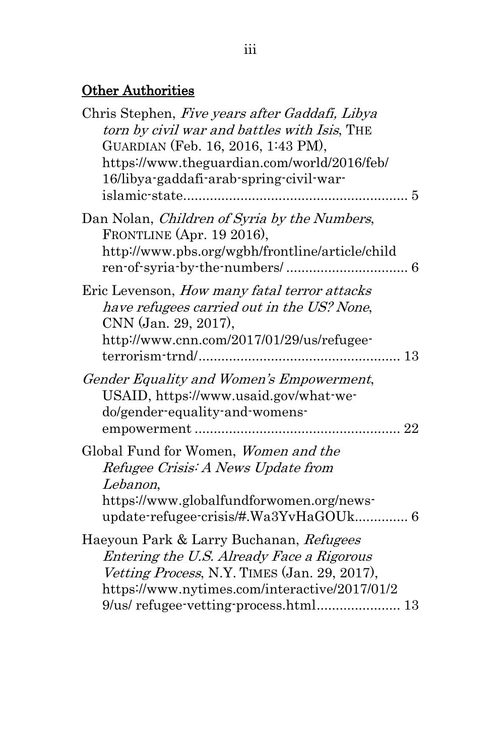# Other Authorities

| Chris Stephen, Five years after Gaddafi, Libya<br>torn by civil war and battles with Isis, THE<br>GUARDIAN (Feb. 16, 2016, 1:43 PM),<br>https://www.theguardian.com/world/2016/feb/<br>16/libya-gaddafi-arab-spring-civil-war-<br>islamic-state<br>5 |
|------------------------------------------------------------------------------------------------------------------------------------------------------------------------------------------------------------------------------------------------------|
| Dan Nolan, Children of Syria by the Numbers,<br>FRONTLINE (Apr. 19 2016),<br>http://www.pbs.org/wgbh/frontline/article/child                                                                                                                         |
| Eric Levenson, <i>How many fatal terror attacks</i><br>have refugees carried out in the US? None,<br>CNN (Jan. 29, 2017),<br>http://www.cnn.com/2017/01/29/us/refugee-<br>13                                                                         |
| Gender Equality and Women's Empowerment,<br>USAID, https://www.usaid.gov/what-we-<br>do/gender-equality-and-womens-<br>22                                                                                                                            |
| Global Fund for Women, Women and the<br>Refugee Crisis: A News Update from<br>Lebanon,<br>https://www.globalfundforwomen.org/news-<br>update-refugee-crisis/#.Wa3YvHaGOUk 6                                                                          |
| Haeyoun Park & Larry Buchanan, Refugees<br>Entering the U.S. Already Face a Rigorous<br>Vetting Process, N.Y. TIMES (Jan. 29, 2017),<br>https://www.nytimes.com/interactive/2017/01/2<br>9/us/refugee-vetting-process.html 13                        |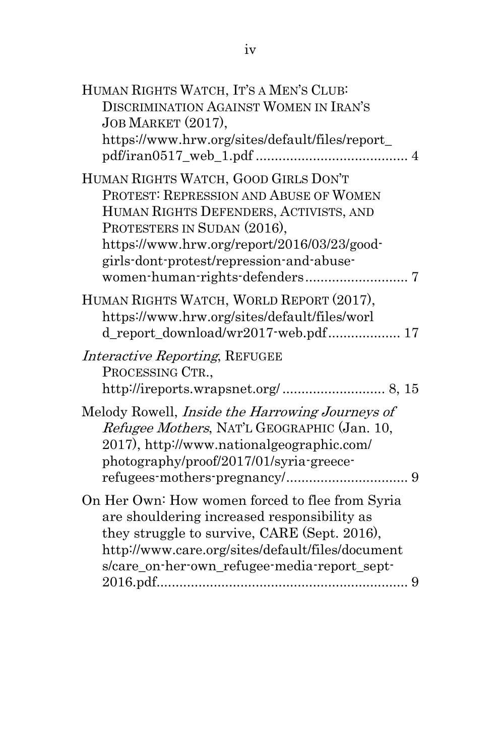| HUMAN RIGHTS WATCH, IT'S A MEN'S CLUB:<br>DISCRIMINATION AGAINST WOMEN IN IRAN'S<br>JOB MARKET (2017),<br>https://www.hrw.org/sites/default/files/report_                                                                                          |
|----------------------------------------------------------------------------------------------------------------------------------------------------------------------------------------------------------------------------------------------------|
| HUMAN RIGHTS WATCH, GOOD GIRLS DON'T<br>PROTEST: REPRESSION AND ABUSE OF WOMEN<br>HUMAN RIGHTS DEFENDERS, ACTIVISTS, AND<br>PROTESTERS IN SUDAN (2016),<br>https://www.hrw.org/report/2016/03/23/good-<br>girls-dont-protest/repression-and-abuse- |
| HUMAN RIGHTS WATCH, WORLD REPORT (2017),<br>https://www.hrw.org/sites/default/files/worl<br>d_report_download/wr2017-web.pdf 17                                                                                                                    |
| <i>Interactive Reporting, REFUGEE</i><br>PROCESSING CTR.,                                                                                                                                                                                          |
| Melody Rowell, Inside the Harrowing Journeys of<br>Refugee Mothers, NAT'L GEOGRAPHIC (Jan. 10,<br>2017), http://www.nationalgeographic.com/<br>photography/proof/2017/01/syria-greece-                                                             |
| On Her Own: How women forced to flee from Syria<br>are shouldering increased responsibility as<br>they struggle to survive, CARE (Sept. 2016),<br>http://www.care.org/sites/default/files/document<br>s/care_on-her-own_refugee-media-report_sept- |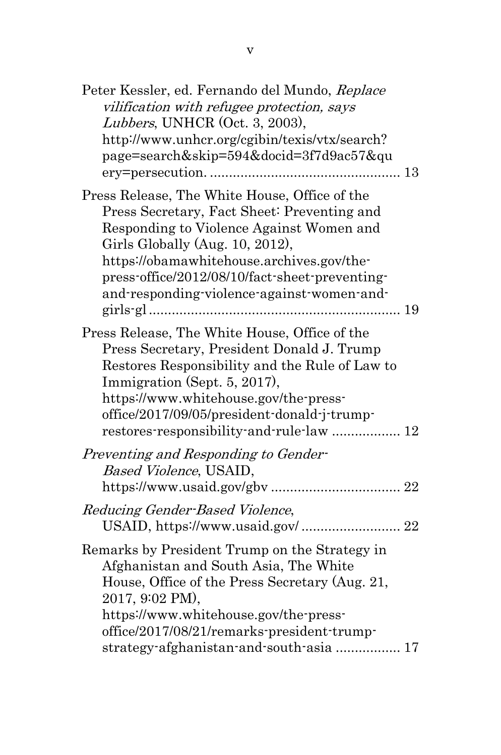| restores-responsibility-and-rule-law  12 |
|------------------------------------------|
|                                          |
| USAID, https://www.usaid.gov/ 22         |
| strategy-afghanistan-and-south-asia  17  |
|                                          |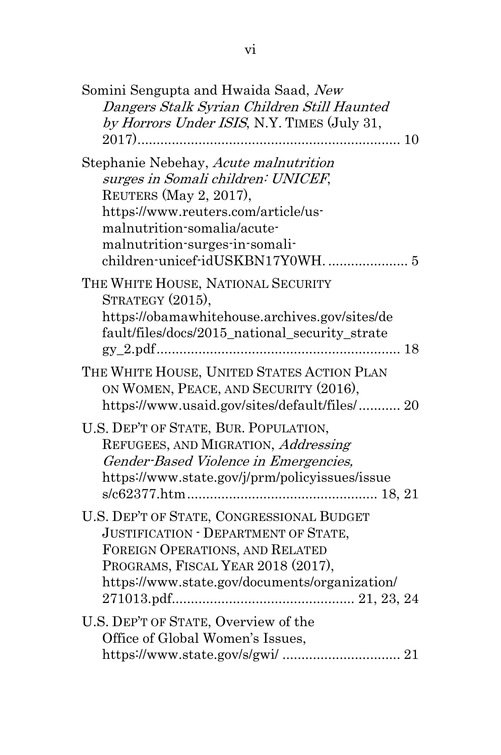| Somini Sengupta and Hwaida Saad, New<br>Dangers Stalk Syrian Children Still Haunted<br>by Horrors Under ISIS, N.Y. TIMES (July 31,                                                                            |
|---------------------------------------------------------------------------------------------------------------------------------------------------------------------------------------------------------------|
| Stephanie Nebehay, Acute malnutrition<br>surges in Somali children: UNICEF,<br>REUTERS (May 2, 2017),<br>https://www.reuters.com/article/us-<br>malnutrition-somalia/acute-<br>malnutrition-surges-in-somali- |
| THE WHITE HOUSE, NATIONAL SECURITY<br>STRATEGY (2015),<br>https://obamawhitehouse.archives.gov/sites/de<br>fault/files/docs/2015_national_security_strate                                                     |
| THE WHITE HOUSE, UNITED STATES ACTION PLAN<br>ON WOMEN, PEACE, AND SECURITY (2016),<br>https://www.usaid.gov/sites/default/files/ 20                                                                          |
| U.S. DEP'T OF STATE, BUR. POPULATION,<br>REFUGEES, AND MIGRATION, Addressing<br>Gender-Based Violence in Emergencies,<br>https://www.state.gov/j/prm/policyissues/issue                                       |
| U.S. DEP'T OF STATE, CONGRESSIONAL BUDGET<br>JUSTIFICATION - DEPARTMENT OF STATE,<br>FOREIGN OPERATIONS, AND RELATED<br>PROGRAMS, FISCAL YEAR 2018 (2017),<br>https://www.state.gov/documents/organization/   |
| U.S. DEP'T OF STATE, Overview of the<br>Office of Global Women's Issues,                                                                                                                                      |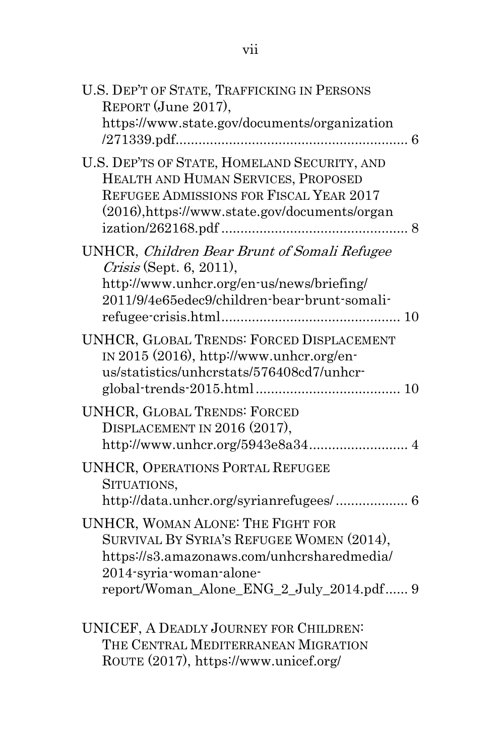| U.S. DEP'T OF STATE, TRAFFICKING IN PERSONS<br>REPORT (June 2017),<br>https://www.state.gov/documents/organization                                                                                         |
|------------------------------------------------------------------------------------------------------------------------------------------------------------------------------------------------------------|
| U.S. DEP'TS OF STATE, HOMELAND SECURITY, AND<br>HEALTH AND HUMAN SERVICES, PROPOSED<br>REFUGEE ADMISSIONS FOR FISCAL YEAR 2017<br>(2016),https://www.state.gov/documents/organ                             |
| UNHCR, Children Bear Brunt of Somali Refugee<br>$Crisis$ (Sept. 6, 2011),<br>http://www.unhcr.org/en-us/news/briefing/<br>2011/9/4e65edec9/children-bear-brunt-somali-                                     |
| UNHCR, GLOBAL TRENDS: FORCED DISPLACEMENT<br>IN 2015 $(2016)$ , http://www.unhcr.org/en-<br>us/statistics/unhcrstats/576408cd7/unhcr-                                                                      |
| <b>UNHCR, GLOBAL TRENDS: FORCED</b><br>DISPLACEMENT IN 2016 (2017),                                                                                                                                        |
| <b>UNHCR, OPERATIONS PORTAL REFUGEE</b><br>SITUATIONS,                                                                                                                                                     |
| <b>UNHCR, WOMAN ALONE: THE FIGHT FOR</b><br>SURVIVAL BY SYRIA'S REFUGEE WOMEN (2014),<br>https://s3.amazonaws.com/unhcrsharedmedia/<br>2014-syria-woman-alone-<br>report/Woman_Alone_ENG_2_July_2014.pdf 9 |
| UNICEF, A DEADLY JOURNEY FOR CHILDREN:                                                                                                                                                                     |

THE CENTRAL MEDITERRANEAN MIGRATION ROUTE (2017), https://www.unicef.org/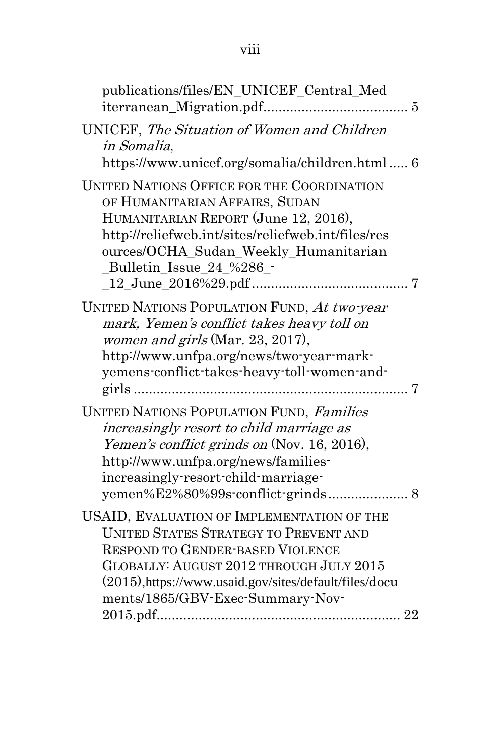publications/files/EN\_UNICEF\_Central\_Med iterranean\_Migration.pdf...................................... [5](#page-13-2) UNICEF, The Situation of Women and Children in Somalia, https://www.unicef.org/somalia/children.html ..... [6](#page-14-3) UNITED NATIONS OFFICE FOR THE COORDINATION OF HUMANITARIAN AFFAIRS, SUDAN HUMANITARIAN REPORT (June 12, 2016), http://reliefweb.int/sites/reliefweb.int/files/res ources/OCHA\_Sudan\_Weekly\_Humanitarian \_Bulletin\_Issue\_24\_%286\_- \_12\_June\_2016%29.pdf ......................................... [7](#page-15-1) UNITED NATIONS POPULATION FUND, At two-year mark, Yemen's conflict takes heavy toll on women and girls (Mar. 23, 2017), http://www.unfpa.org/news/two-year-markyemens-conflict-takes-heavy-toll-women-andgirls ........................................................................ [7](#page-15-2) UNITED NATIONS POPULATION FUND, Families increasingly resort to child marriage as Yemen's conflict grinds on (Nov. 16, 2016), http://www.unfpa.org/news/familiesincreasingly-resort-child-marriageyemen%E2%80%99s-conflict-grinds ..................... [8](#page-16-2) USAID, EVALUATION OF IMPLEMENTATION OF THE UNITED STATES STRATEGY TO PREVENT AND RESPOND TO GENDER-BASED VIOLENCE GLOBALLY: AUGUST 2012 THROUGH JULY 2015 (2015),https://www.usaid.gov/sites/default/files/docu ments/1865/GBV-Exec-Summary-Nov-2015.pdf................................................................ [22](#page-30-3)

viii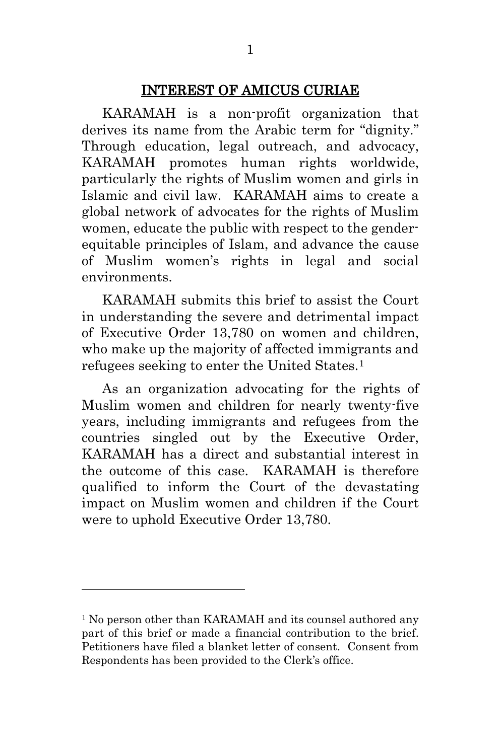#### INTEREST OF AMICUS CURIAE

<span id="page-9-0"></span>KARAMAH is a non-profit organization that derives its name from the Arabic term for "dignity." Through education, legal outreach, and advocacy, KARAMAH promotes human rights worldwide, particularly the rights of Muslim women and girls in Islamic and civil law. KARAMAH aims to create a global network of advocates for the rights of Muslim women, educate the public with respect to the genderequitable principles of Islam, and advance the cause of Muslim women's rights in legal and social environments.

KARAMAH submits this brief to assist the Court in understanding the severe and detrimental impact of Executive Order 13,780 on women and children, who make up the majority of affected immigrants and refugees seeking to enter the United States.[1](#page-9-1)

As an organization advocating for the rights of Muslim women and children for nearly twenty-five years, including immigrants and refugees from the countries singled out by the Executive Order, KARAMAH has a direct and substantial interest in the outcome of this case. KARAMAH is therefore qualified to inform the Court of the devastating impact on Muslim women and children if the Court were to uphold Executive Order 13,780.

<span id="page-9-1"></span><sup>&</sup>lt;sup>1</sup> No person other than KARAMAH and its counsel authored any part of this brief or made a financial contribution to the brief. Petitioners have filed a blanket letter of consent. Consent from Respondents has been provided to the Clerk's office.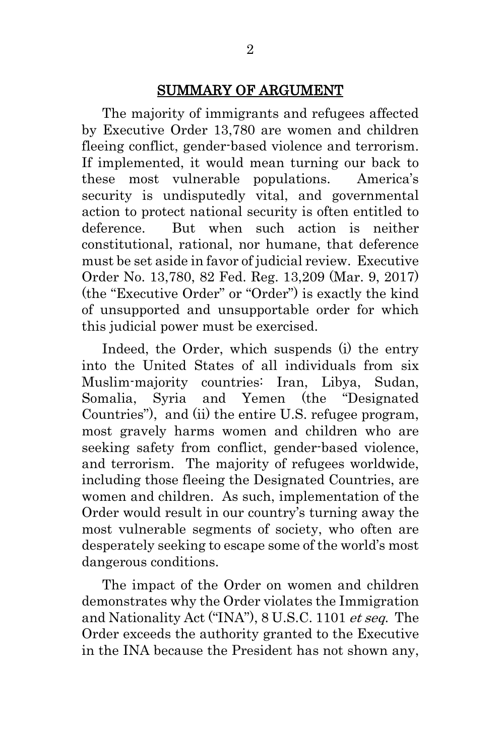#### SUMMARY OF ARGUMENT

<span id="page-10-0"></span>The majority of immigrants and refugees affected by Executive Order 13,780 are women and children fleeing conflict, gender-based violence and terrorism. If implemented, it would mean turning our back to these most vulnerable populations. America's security is undisputedly vital, and governmental action to protect national security is often entitled to deference. But when such action is neither constitutional, rational, nor humane, that deference must be set aside in favor of judicial review. Executive Order No. 13,780, 82 Fed. Reg. 13,209 (Mar. 9, 2017) (the "Executive Order" or "Order") is exactly the kind of unsupported and unsupportable order for which this judicial power must be exercised.

Indeed, the Order, which suspends (i) the entry into the United States of all individuals from six Muslim-majority countries: Iran, Libya, Sudan, Somalia, Syria and Yemen (the "Designated Countries"), and (ii) the entire U.S. refugee program, most gravely harms women and children who are seeking safety from conflict, gender-based violence, and terrorism. The majority of refugees worldwide, including those fleeing the Designated Countries, are women and children. As such, implementation of the Order would result in our country's turning away the most vulnerable segments of society, who often are desperately seeking to escape some of the world's most dangerous conditions.

The impact of the Order on women and children demonstrates why the Order violates the Immigration and Nationality Act ("INA"), 8 U.S.C. 1101 et seq. The Order exceeds the authority granted to the Executive in the INA because the President has not shown any,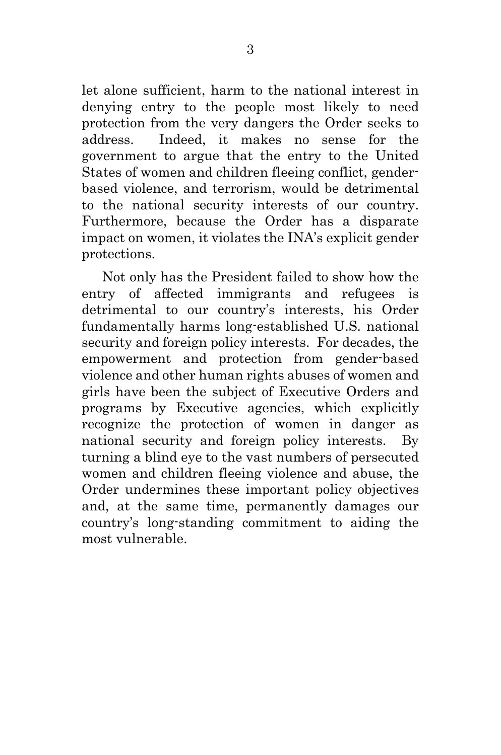let alone sufficient, harm to the national interest in denying entry to the people most likely to need protection from the very dangers the Order seeks to address. Indeed, it makes no sense for the government to argue that the entry to the United States of women and children fleeing conflict, genderbased violence, and terrorism, would be detrimental to the national security interests of our country. Furthermore, because the Order has a disparate impact on women, it violates the INA's explicit gender protections.

Not only has the President failed to show how the entry of affected immigrants and refugees is detrimental to our country's interests, his Order fundamentally harms long-established U.S. national security and foreign policy interests. For decades, the empowerment and protection from gender-based violence and other human rights abuses of women and girls have been the subject of Executive Orders and programs by Executive agencies, which explicitly recognize the protection of women in danger as national security and foreign policy interests. By turning a blind eye to the vast numbers of persecuted women and children fleeing violence and abuse, the Order undermines these important policy objectives and, at the same time, permanently damages our country's long-standing commitment to aiding the most vulnerable.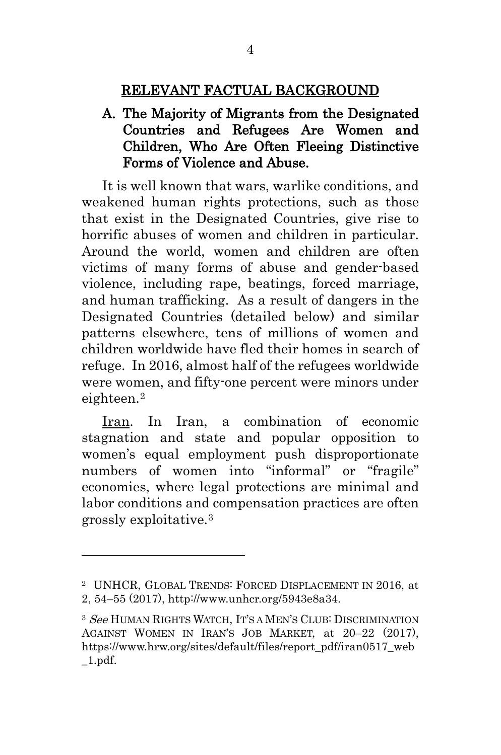#### RELEVANT FACTUAL BACKGROUND

### <span id="page-12-1"></span><span id="page-12-0"></span>A. The Majority of Migrants from the Designated Countries and Refugees Are Women and Children, Who Are Often Fleeing Distinctive Forms of Violence and Abuse.

It is well known that wars, warlike conditions, and weakened human rights protections, such as those that exist in the Designated Countries, give rise to horrific abuses of women and children in particular. Around the world, women and children are often victims of many forms of abuse and gender-based violence, including rape, beatings, forced marriage, and human trafficking. As a result of dangers in the Designated Countries (detailed below) and similar patterns elsewhere, tens of millions of women and children worldwide have fled their homes in search of refuge. In 2016, almost half of the refugees worldwide were women, and fifty-one percent were minors under eighteen.[2](#page-12-3) 

Iran. In Iran, a combination of economic stagnation and state and popular opposition to women's equal employment push disproportionate numbers of women into "informal" or "fragile" economies, where legal protections are minimal and labor conditions and compensation practices are often grossly exploitative.[3](#page-12-4)

<span id="page-12-3"></span><sup>2</sup> UNHCR, GLOBAL TRENDS: FORCED DISPLACEMENT IN 2016, at 2, 54–55 (2017), http://www.unhcr.org/5943e8a34.

<span id="page-12-4"></span><span id="page-12-2"></span><sup>&</sup>lt;sup>3</sup> See HUMAN RIGHTS WATCH, IT'S A MEN'S CLUB: DISCRIMINATION AGAINST WOMEN IN IRAN'S JOB MARKET, at 20–22 (2017), https://www.hrw.org/sites/default/files/report\_pdf/iran0517\_web \_1.pdf.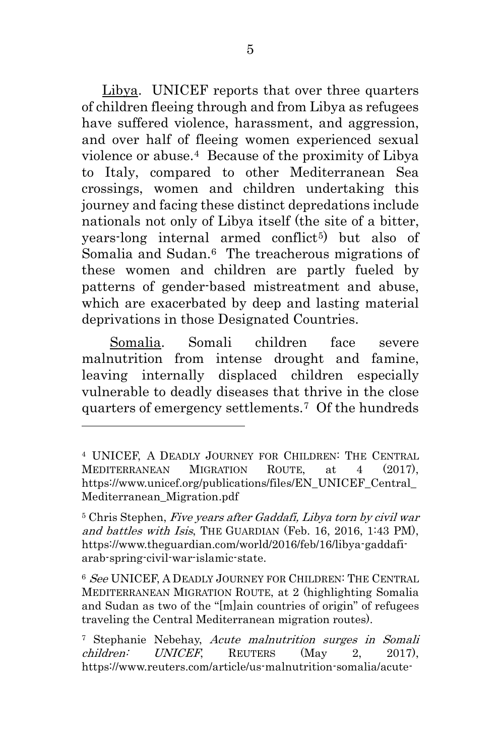Libya. UNICEF reports that over three quarters of children fleeing through and from Libya as refugees have suffered violence, harassment, and aggression, and over half of fleeing women experienced sexual violence or abuse.[4](#page-13-3) Because of the proximity of Libya to Italy, compared to other Mediterranean Sea crossings, women and children undertaking this journey and facing these distinct depredations include nationals not only of Libya itself (the site of a bitter, years-long internal armed conflict<sup>5</sup>) but also of Somalia and Sudan.<sup>6</sup> The treacherous migrations of these women and children are partly fueled by patterns of gender-based mistreatment and abuse, which are exacerbated by deep and lasting material deprivations in those Designated Countries.

 Somalia. Somali children face severe malnutrition from intense drought and famine, leaving internally displaced children especially vulnerable to deadly diseases that thrive in the close quarters of emergency settlements.[7](#page-13-6) Of the hundreds

<span id="page-13-3"></span><span id="page-13-2"></span><sup>4</sup> UNICEF, A DEADLY JOURNEY FOR CHILDREN: THE CENTRAL MEDITERRANEAN MIGRATION ROUTE, at 4 (2017), https://www.unicef.org/publications/files/EN\_UNICEF\_Central Mediterranean\_Migration.pdf

<span id="page-13-4"></span><span id="page-13-0"></span><sup>5</sup> Chris Stephen, Five years after Gaddafi, Libya torn by civil war and battles with Isis, THE GUARDIAN (Feb. 16, 2016, 1:43 PM), https://www.theguardian.com/world/2016/feb/16/libya-gaddafiarab-spring-civil-war-islamic-state.

<span id="page-13-5"></span><sup>6</sup> See UNICEF, A DEADLY JOURNEY FOR CHILDREN: THE CENTRAL MEDITERRANEAN MIGRATION ROUTE, at 2 (highlighting Somalia and Sudan as two of the "[m]ain countries of origin" of refugees traveling the Central Mediterranean migration routes).

<span id="page-13-6"></span><span id="page-13-1"></span><sup>&</sup>lt;sup>7</sup> Stephanie Nebehay, Acute malnutrition surges in Somali children: UNICEF, REUTERS (May 2, 2017), https://www.reuters.com/article/us-malnutrition-somalia/acute-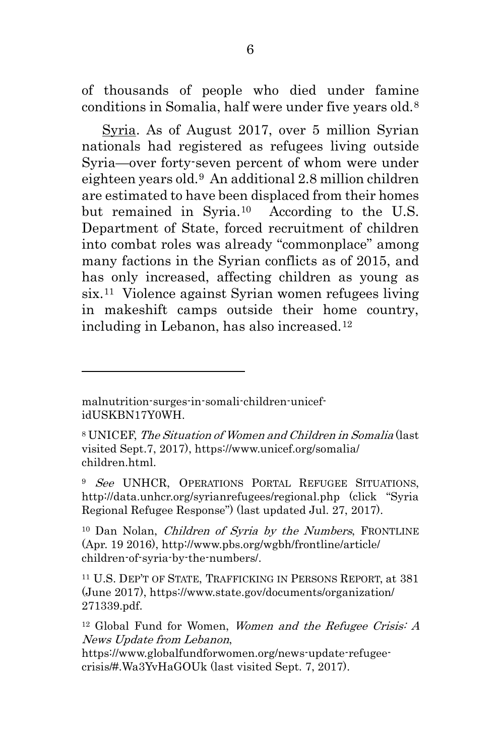of thousands of people who died under famine conditions in Somalia, half were under five years old.[8](#page-14-4)

Syria. As of August 2017, over 5 million Syrian nationals had registered as refugees living outside Syria—over forty-seven percent of whom were under eighteen years old.[9](#page-14-5) An additional 2.8 million children are estimated to have been displaced from their homes but remained in Syria.[10](#page-14-6) According to the U.S. Department of State, forced recruitment of children into combat roles was already "commonplace" among many factions in the Syrian conflicts as of 2015, and has only increased, affecting children as young as six.[11](#page-14-7) Violence against Syrian women refugees living in makeshift camps outside their home country, including in Lebanon, has also increased.[12](#page-14-8)

 $\overline{a}$ 

<span id="page-14-5"></span><sup>9</sup> See UNHCR, OPERATIONS PORTAL REFUGEE SITUATIONS, http://data.unhcr.org/syrianrefugees/regional.php (click "Syria Regional Refugee Response") (last updated Jul. 27, 2017).

<span id="page-14-6"></span><span id="page-14-0"></span><sup>10</sup> Dan Nolan, *Children of Syria by the Numbers*, FRONTLINE (Apr. 19 2016), http://www.pbs.org/wgbh/frontline/article/ children-of-syria-by-the-numbers/.

<span id="page-14-7"></span><span id="page-14-2"></span><sup>11</sup> U.S. DEP'T OF STATE, TRAFFICKING IN PERSONS REPORT, at 381 (June 2017), https://www.state.gov/documents/organization/ 271339.pdf.

malnutrition-surges-in-somali-children-unicefidUSKBN17Y0WH.

<span id="page-14-4"></span><span id="page-14-3"></span><sup>8</sup> UNICEF, The Situation of Women and Children in Somalia (last visited Sept.7, 2017), https://www.unicef.org/somalia/ children.html.

<span id="page-14-8"></span><span id="page-14-1"></span> $12$  Global Fund for Women, Women and the Refugee Crisis: A News Update from Lebanon,

https://www.globalfundforwomen.org/news-update-refugeecrisis/#.Wa3YvHaGOUk (last visited Sept. 7, 2017).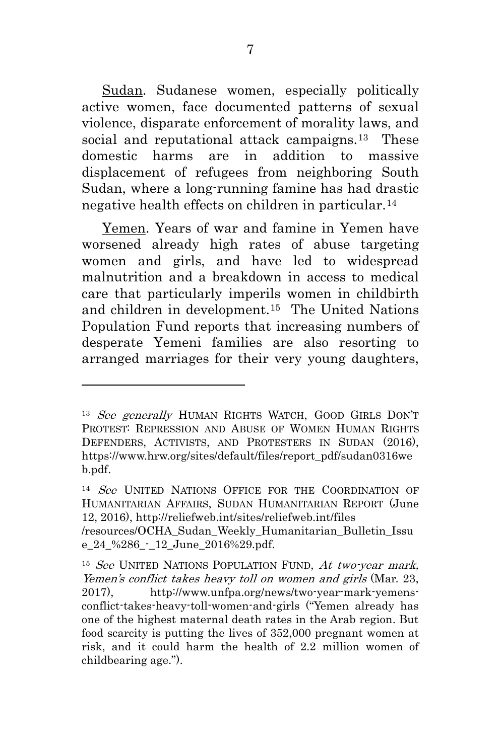Sudan. Sudanese women, especially politically active women, face documented patterns of sexual violence, disparate enforcement of morality laws, and social and reputational attack campaigns.<sup>[13](#page-15-3)</sup> These domestic harms are in addition to massive displacement of refugees from neighboring South Sudan, where a long-running famine has had drastic negative health effects on children in particular.[14](#page-15-4)

Yemen. Years of war and famine in Yemen have worsened already high rates of abuse targeting women and girls, and have led to widespread malnutrition and a breakdown in access to medical care that particularly imperils women in childbirth and children in development.[15](#page-15-5) The United Nations Population Fund reports that increasing numbers of desperate Yemeni families are also resorting to arranged marriages for their very young daughters,

<span id="page-15-3"></span><span id="page-15-0"></span><sup>&</sup>lt;sup>13</sup> See generally HUMAN RIGHTS WATCH, GOOD GIRLS DON'T PROTEST: REPRESSION AND ABUSE OF WOMEN HUMAN RIGHTS DEFENDERS, ACTIVISTS, AND PROTESTERS IN SUDAN (2016), https://www.hrw.org/sites/default/files/report\_pdf/sudan0316we b.pdf.

<span id="page-15-4"></span><span id="page-15-1"></span><sup>&</sup>lt;sup>14</sup> See UNITED NATIONS OFFICE FOR THE COORDINATION OF HUMANITARIAN AFFAIRS, SUDAN HUMANITARIAN REPORT (June 12, 2016), http://reliefweb.int/sites/reliefweb.int/files

<sup>/</sup>resources/OCHA\_Sudan\_Weekly\_Humanitarian\_Bulletin\_Issu e 24 %286 - 12 June 2016%29.pdf.

<span id="page-15-5"></span><span id="page-15-2"></span><sup>&</sup>lt;sup>15</sup> See UNITED NATIONS POPULATION FUND,  $At two year$  mark, Yemen's conflict takes heavy toll on women and girls (Mar. 23, 2017), http://www.unfpa.org/news/two-year-mark-yemensconflict-takes-heavy-toll-women-and-girls ("Yemen already has one of the highest maternal death rates in the Arab region. But food scarcity is putting the lives of 352,000 pregnant women at risk, and it could harm the health of 2.2 million women of childbearing age.").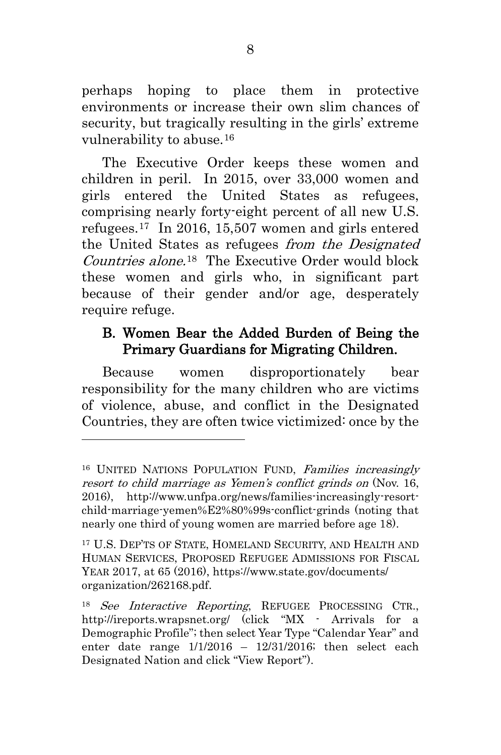perhaps hoping to place them in protective environments or increase their own slim chances of security, but tragically resulting in the girls' extreme vulnerability to abuse.[16](#page-16-3)

The Executive Order keeps these women and children in peril. In 2015, over 33,000 women and girls entered the United States as refugees, comprising nearly forty-eight percent of all new U.S. refugees.[17](#page-16-4) In 2016, 15,507 women and girls entered the United States as refugees *from the Designated* Countries alone. [18](#page-16-5) The Executive Order would block these women and girls who, in significant part because of their gender and/or age, desperately require refuge.

### <span id="page-16-0"></span>B. Women Bear the Added Burden of Being the Primary Guardians for Migrating Children.

Because women disproportionately bear responsibility for the many children who are victims of violence, abuse, and conflict in the Designated Countries, they are often twice victimized: once by the

<span id="page-16-3"></span><span id="page-16-2"></span><sup>&</sup>lt;sup>16</sup> UNITED NATIONS POPULATION FUND, Families increasingly resort to child marriage as Yemen's conflict grinds on (Nov. 16, 2016), http://www.unfpa.org/news/families-increasingly-resortchild-marriage-yemen%E2%80%99s-conflict-grinds (noting that nearly one third of young women are married before age 18).

<span id="page-16-4"></span><span id="page-16-1"></span><sup>17</sup> U.S. DEP'TS OF STATE, HOMELAND SECURITY, AND HEALTH AND HUMAN SERVICES, PROPOSED REFUGEE ADMISSIONS FOR FISCAL YEAR 2017, at 65 (2016), https://www.state.gov/documents/ organization/262168.pdf.

<span id="page-16-5"></span><sup>18</sup> See Interactive Reporting, REFUGEE PROCESSING CTR., http://ireports.wrapsnet.org/ (click "MX - Arrivals for a Demographic Profile"; then select Year Type "Calendar Year" and enter date range 1/1/2016 – 12/31/2016; then select each Designated Nation and click "View Report").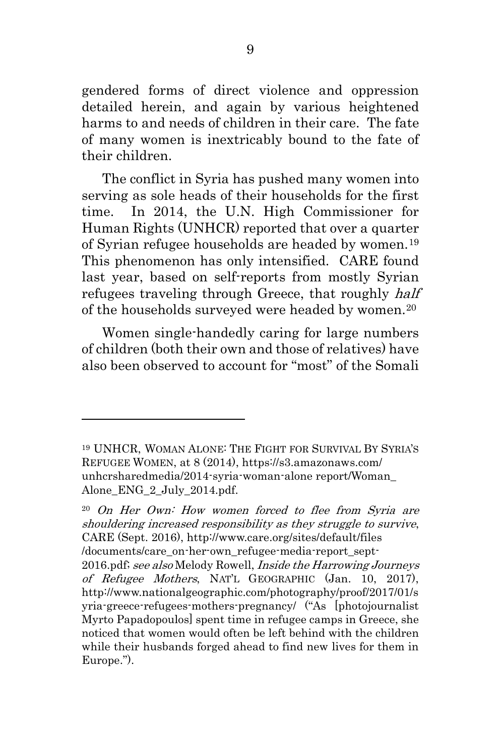gendered forms of direct violence and oppression detailed herein, and again by various heightened harms to and needs of children in their care. The fate of many women is inextricably bound to the fate of their children.

The conflict in Syria has pushed many women into serving as sole heads of their households for the first time. In 2014, the U.N. High Commissioner for Human Rights (UNHCR) reported that over a quarter of Syrian refugee households are headed by women.[19](#page-17-1) This phenomenon has only intensified. CARE found last year, based on self-reports from mostly Syrian refugees traveling through Greece, that roughly half of the households surveyed were headed by women.[20](#page-17-2)

Women single-handedly caring for large numbers of children (both their own and those of relatives) have also been observed to account for "most" of the Somali

<span id="page-17-1"></span><sup>19</sup> UNHCR, WOMAN ALONE: THE FIGHT FOR SURVIVAL BY SYRIA'S REFUGEE WOMEN, at 8 (2014), https://s3.amazonaws.com/ unhcrsharedmedia/2014-syria-woman-alone report/Woman\_ Alone\_ENG\_2\_July\_2014.pdf.

<span id="page-17-2"></span><span id="page-17-0"></span><sup>20</sup> On Her Own: How women forced to flee from Syria are shouldering increased responsibility as they struggle to survive, CARE (Sept. 2016), http://www.care.org/sites/default/files /documents/care\_on-her-own\_refugee-media-report\_sept-2016.pdf; see also Melody Rowell, Inside the Harrowing Journeys of Refugee Mothers, NAT'L GEOGRAPHIC (Jan. 10, 2017), http://www.nationalgeographic.com/photography/proof/2017/01/s yria-greece-refugees-mothers-pregnancy/ ("As [photojournalist Myrto Papadopoulos] spent time in refugee camps in Greece, she noticed that women would often be left behind with the children while their husbands forged ahead to find new lives for them in Europe.").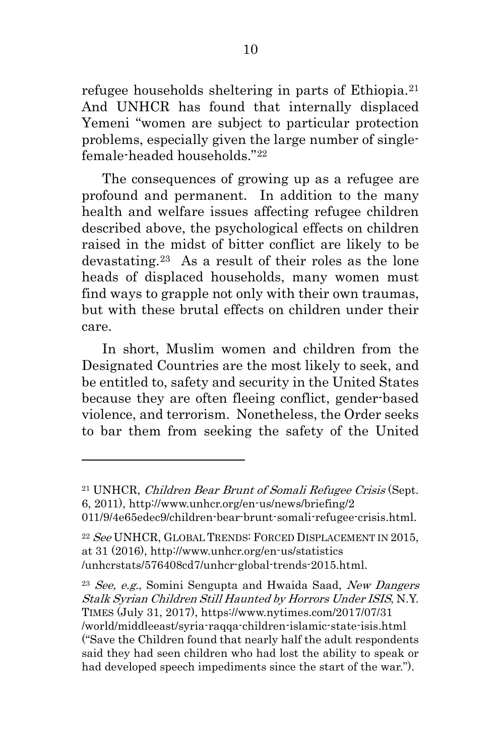refugee households sheltering in parts of Ethiopia.[21](#page-18-1) And UNHCR has found that internally displaced Yemeni "women are subject to particular protection problems, especially given the large number of singlefemale-headed households."[22](#page-18-2)

The consequences of growing up as a refugee are profound and permanent. In addition to the many health and welfare issues affecting refugee children described above, the psychological effects on children raised in the midst of bitter conflict are likely to be devastating.[23](#page-18-3) As a result of their roles as the lone heads of displaced households, many women must find ways to grapple not only with their own traumas, but with these brutal effects on children under their care.

In short, Muslim women and children from the Designated Countries are the most likely to seek, and be entitled to, safety and security in the United States because they are often fleeing conflict, gender-based violence, and terrorism. Nonetheless, the Order seeks to bar them from seeking the safety of the United

 $\overline{a}$ 

<span id="page-18-3"></span><span id="page-18-0"></span> $23$  See, e.g., Somini Sengupta and Hwaida Saad, New Dangers Stalk Syrian Children Still Haunted by Horrors Under ISIS, N.Y. TIMES (July 31, 2017), https://www.nytimes.com/2017/07/31 /world/middleeast/syria-raqqa-children-islamic-state-isis.html ("Save the Children found that nearly half the adult respondents said they had seen children who had lost the ability to speak or had developed speech impediments since the start of the war.").

<span id="page-18-1"></span><sup>&</sup>lt;sup>21</sup> UNHCR, Children Bear Brunt of Somali Refugee Crisis (Sept. 6, 2011), http://www.unhcr.org/en-us/news/briefing/2

<sup>011/9/4</sup>e65edec9/children-bear-brunt-somali-refugee-crisis.html.

<span id="page-18-2"></span><sup>&</sup>lt;sup>22</sup> See UNHCR, GLOBAL TRENDS: FORCED DISPLACEMENT IN 2015, at 31 (2016), http://www.unhcr.org/en-us/statistics /unhcrstats/576408cd7/unhcr-global-trends-2015.html.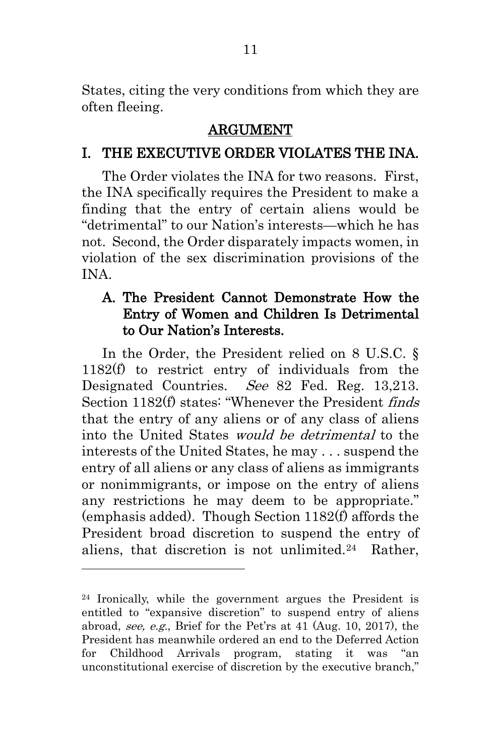States, citing the very conditions from which they are often fleeing.

#### ARGUMENT

## <span id="page-19-1"></span><span id="page-19-0"></span>I. THE EXECUTIVE ORDER VIOLATES THE INA.

The Order violates the INA for two reasons. First, the INA specifically requires the President to make a finding that the entry of certain aliens would be "detrimental" to our Nation's interests—which he has not. Second, the Order disparately impacts women, in violation of the sex discrimination provisions of the INA.

### <span id="page-19-3"></span><span id="page-19-2"></span>A. The President Cannot Demonstrate How the Entry of Women and Children Is Detrimental to Our Nation's Interests.

In the Order, the President relied on 8 U.S.C. § 1182(f) to restrict entry of individuals from the Designated Countries. See 82 Fed. Reg. 13,213. Section 1182(f) states: "Whenever the President finds that the entry of any aliens or of any class of aliens into the United States would be detrimental to the interests of the United States, he may . . . suspend the entry of all aliens or any class of aliens as immigrants or nonimmigrants, or impose on the entry of aliens any restrictions he may deem to be appropriate." (emphasis added). Though Section 1182(f) affords the President broad discretion to suspend the entry of aliens, that discretion is not unlimited.[24](#page-19-4) Rather,

<span id="page-19-4"></span><sup>24</sup> Ironically, while the government argues the President is entitled to "expansive discretion" to suspend entry of aliens abroad, see, e.g., Brief for the Pet'rs at 41 (Aug. 10, 2017), the President has meanwhile ordered an end to the Deferred Action for Childhood Arrivals program, stating it was "an unconstitutional exercise of discretion by the executive branch,"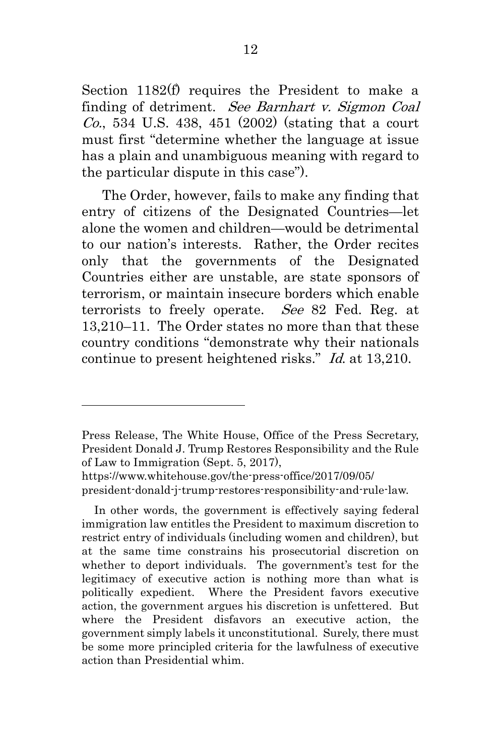<span id="page-20-0"></span>Section 1182(f) requires the President to make a finding of detriment. See Barnhart v. Sigmon Coal  $Co.$ , 534 U.S. 438, 451 (2002) (stating that a court must first "determine whether the language at issue has a plain and unambiguous meaning with regard to the particular dispute in this case").

The Order, however, fails to make any finding that entry of citizens of the Designated Countries—let alone the women and children—would be detrimental to our nation's interests. Rather, the Order recites only that the governments of the Designated Countries either are unstable, are state sponsors of terrorism, or maintain insecure borders which enable terrorists to freely operate. See 82 Fed. Reg. at 13,210–11. The Order states no more than that these country conditions "demonstrate why their nationals continue to present heightened risks." Id. at 13,210.

<span id="page-20-1"></span>Press Release, The White House, Office of the Press Secretary, President Donald J. Trump Restores Responsibility and the Rule of Law to Immigration (Sept. 5, 2017),

https://www.whitehouse.gov/the-press-office/2017/09/05/ president-donald-j-trump-restores-responsibility-and-rule-law.

In other words, the government is effectively saying federal immigration law entitles the President to maximum discretion to restrict entry of individuals (including women and children), but at the same time constrains his prosecutorial discretion on whether to deport individuals. The government's test for the legitimacy of executive action is nothing more than what is politically expedient. Where the President favors executive action, the government argues his discretion is unfettered. But where the President disfavors an executive action, the government simply labels it unconstitutional. Surely, there must be some more principled criteria for the lawfulness of executive action than Presidential whim.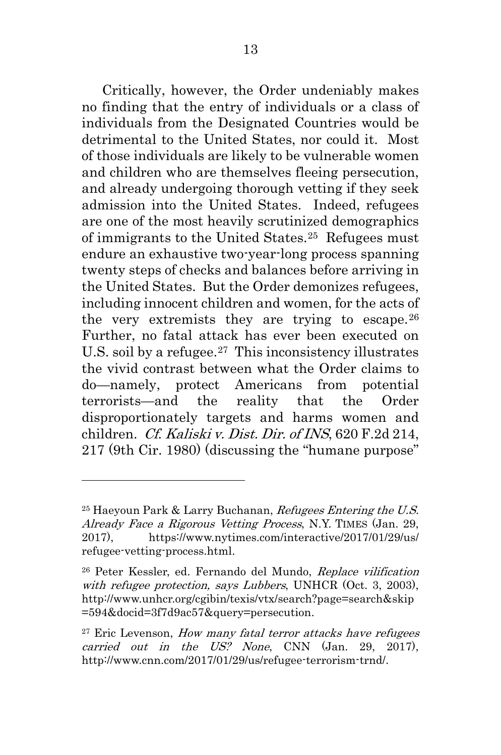Critically, however, the Order undeniably makes no finding that the entry of individuals or a class of individuals from the Designated Countries would be detrimental to the United States, nor could it. Most of those individuals are likely to be vulnerable women and children who are themselves fleeing persecution, and already undergoing thorough vetting if they seek admission into the United States. Indeed, refugees are one of the most heavily scrutinized demographics of immigrants to the United States.[25](#page-21-3) Refugees must endure an exhaustive two-year-long process spanning twenty steps of checks and balances before arriving in the United States. But the Order demonizes refugees, including innocent children and women, for the acts of the very extremists they are trying to escape.  $26$ Further, no fatal attack has ever been executed on U.S. soil by a refugee.<sup>27</sup> This inconsistency illustrates the vivid contrast between what the Order claims to do—namely, protect Americans from potential terrorists—and the reality that the Order disproportionately targets and harms women and children. Cf. Kaliski v. Dist. Dir. of INS, 620 F.2d 214, 217 (9th Cir. 1980) (discussing the "humane purpose"

<span id="page-21-3"></span><span id="page-21-1"></span><span id="page-21-0"></span> $^{25}$  Haeyoun Park & Larry Buchanan, *Refugees Entering the U.S.* Already Face a Rigorous Vetting Process, N.Y. TIMES (Jan. 29, 2017), https://www.nytimes.com/interactive/2017/01/29/us/ refugee-vetting-process.html.

<span id="page-21-4"></span><span id="page-21-2"></span><sup>26</sup> Peter Kessler, ed. Fernando del Mundo, Replace vilification with refugee protection, says Lubbers, UNHCR (Oct. 3, 2003), http://www.unhcr.org/cgibin/texis/vtx/search?page=search&skip =594&docid=3f7d9ac57&query=persecution.

<span id="page-21-5"></span> $27$  Eric Levenson, How many fatal terror attacks have refugees carried out in the US? None, CNN (Jan. 29, 2017), http://www.cnn.com/2017/01/29/us/refugee-terrorism-trnd/.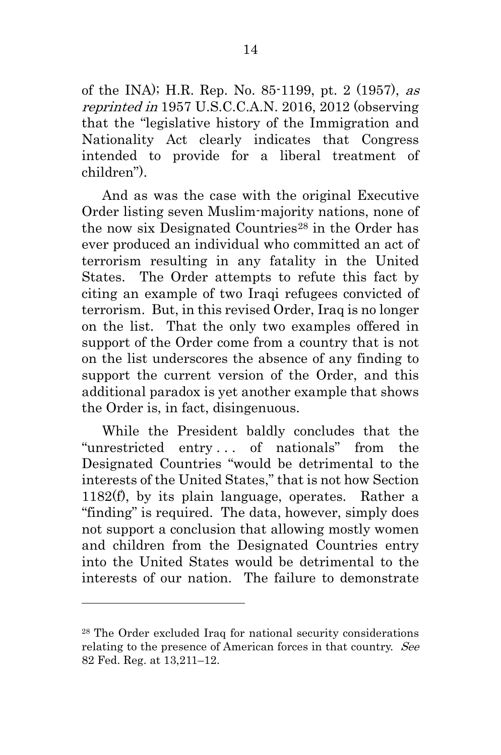<span id="page-22-1"></span>of the INA); H.R. Rep. No. 85-1199, pt. 2 (1957), as reprinted in 1957 U.S.C.C.A.N. 2016, 2012 (observing that the "legislative history of the Immigration and Nationality Act clearly indicates that Congress intended to provide for a liberal treatment of children").

And as was the case with the original Executive Order listing seven Muslim-majority nations, none of the now six Designated Countries<sup>[28](#page-22-2)</sup> in the Order has ever produced an individual who committed an act of terrorism resulting in any fatality in the United States. The Order attempts to refute this fact by citing an example of two Iraqi refugees convicted of terrorism. But, in this revised Order, Iraq is no longer on the list. That the only two examples offered in support of the Order come from a country that is not on the list underscores the absence of any finding to support the current version of the Order, and this additional paradox is yet another example that shows the Order is, in fact, disingenuous.

<span id="page-22-0"></span>While the President baldly concludes that the "unrestricted entry . . . of nationals" from the Designated Countries "would be detrimental to the interests of the United States," that is not how Section 1182(f), by its plain language, operates. Rather a "finding" is required. The data, however, simply does not support a conclusion that allowing mostly women and children from the Designated Countries entry into the United States would be detrimental to the interests of our nation. The failure to demonstrate

<span id="page-22-2"></span><sup>28</sup> The Order excluded Iraq for national security considerations relating to the presence of American forces in that country. See 82 Fed. Reg. at 13,211–12.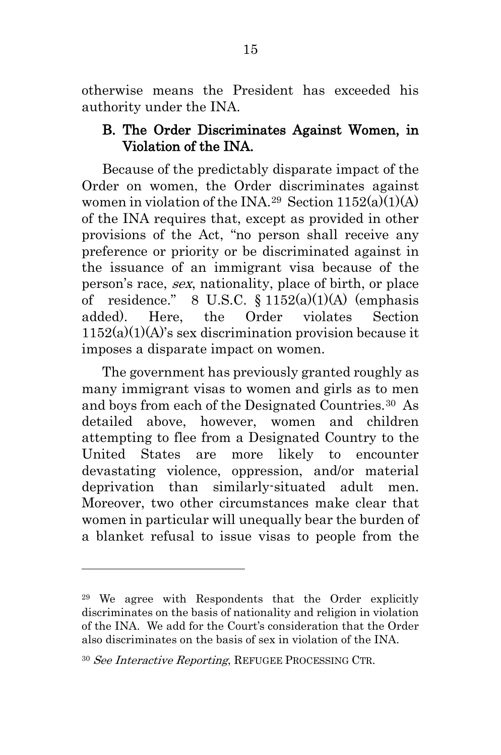otherwise means the President has exceeded his authority under the INA.

#### <span id="page-23-1"></span><span id="page-23-0"></span>B. The Order Discriminates Against Women, in Violation of the INA.

Because of the predictably disparate impact of the Order on women, the Order discriminates against women in violation of the INA.<sup>[29](#page-23-3)</sup> Section  $1152(a)(1)(A)$ of the INA requires that, except as provided in other provisions of the Act, "no person shall receive any preference or priority or be discriminated against in the issuance of an immigrant visa because of the person's race, sex, nationality, place of birth, or place of residence." 8 U.S.C. § 1152(a)(1)(A) (emphasis added). Here, the Order violates Section  $1152(a)(1)(A)$ 's sex discrimination provision because it imposes a disparate impact on women.

The government has previously granted roughly as many immigrant visas to women and girls as to men and boys from each of the Designated Countries.[30](#page-23-4) As detailed above, however, women and children attempting to flee from a Designated Country to the United States are more likely to encounter devastating violence, oppression, and/or material deprivation than similarly-situated adult men. Moreover, two other circumstances make clear that women in particular will unequally bear the burden of a blanket refusal to issue visas to people from the

<span id="page-23-3"></span><sup>29</sup> We agree with Respondents that the Order explicitly discriminates on the basis of nationality and religion in violation of the INA. We add for the Court's consideration that the Order also discriminates on the basis of sex in violation of the INA.

<span id="page-23-4"></span><span id="page-23-2"></span><sup>&</sup>lt;sup>30</sup> See Interactive Reporting, REFUGEE PROCESSING CTR.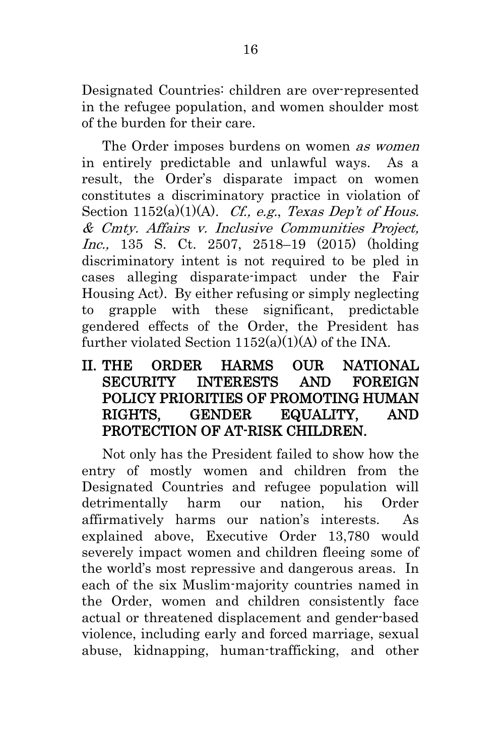Designated Countries: children are over-represented in the refugee population, and women shoulder most of the burden for their care.

<span id="page-24-1"></span>The Order imposes burdens on women as women in entirely predictable and unlawful ways. As a result, the Order's disparate impact on women constitutes a discriminatory practice in violation of Section  $1152(a)(1)(A)$ . *Cf.*, *e.g.*, *Texas Dep't of Hous.* & Cmty. Affairs v. Inclusive Communities Project, Inc., 135 S. Ct. 2507, 2518–19 (2015) (holding discriminatory intent is not required to be pled in cases alleging disparate-impact under the Fair Housing Act). By either refusing or simply neglecting to grapple with these significant, predictable gendered effects of the Order, the President has further violated Section  $1152(a)(1)(A)$  of the INA.

## <span id="page-24-0"></span>II. THE ORDER HARMS OUR NATIONAL SECURITY INTERESTS AND FOREIGN POLICY PRIORITIES OF PROMOTING HUMAN RIGHTS, GENDER EQUALITY, AND PROTECTION OF AT-RISK CHILDREN.

Not only has the President failed to show how the entry of mostly women and children from the Designated Countries and refugee population will detrimentally harm our nation, his Order affirmatively harms our nation's interests. As explained above, Executive Order 13,780 would severely impact women and children fleeing some of the world's most repressive and dangerous areas. In each of the six Muslim-majority countries named in the Order, women and children consistently face actual or threatened displacement and gender-based violence, including early and forced marriage, sexual abuse, kidnapping, human-trafficking, and other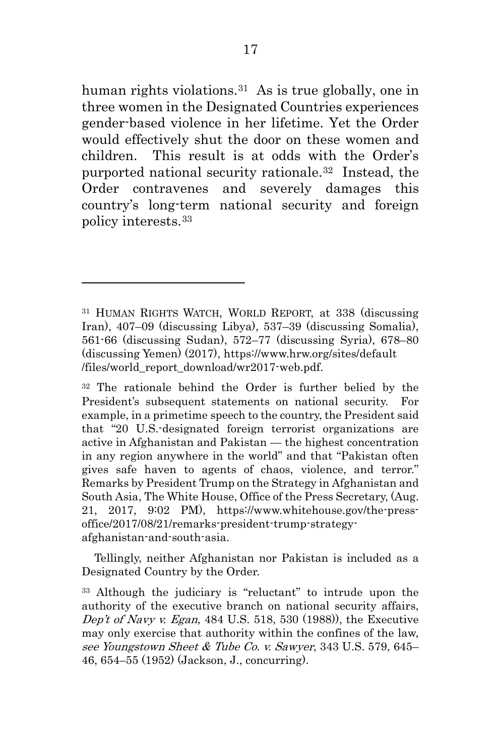human rights violations.<sup>[31](#page-25-4)</sup> As is true globally, one in three women in the Designated Countries experiences gender-based violence in her lifetime. Yet the Order would effectively shut the door on these women and children. This result is at odds with the Order's purported national security rationale[.32](#page-25-5) Instead, the Order contravenes and severely damages this country's long-term national security and foreign policy interests.[33](#page-25-6)

 $\overline{a}$ 

<span id="page-25-3"></span> Tellingly, neither Afghanistan nor Pakistan is included as a Designated Country by the Order.

<span id="page-25-4"></span><span id="page-25-2"></span><sup>31</sup> HUMAN RIGHTS WATCH, WORLD REPORT, at 338 (discussing Iran), 407–09 (discussing Libya), 537–39 (discussing Somalia), 561-66 (discussing Sudan), 572–77 (discussing Syria), 678–80 (discussing Yemen) (2017), https://www.hrw.org/sites/default /files/world\_report\_download/wr2017-web.pdf.

<span id="page-25-5"></span><sup>32</sup> The rationale behind the Order is further belied by the President's subsequent statements on national security. For example, in a primetime speech to the country, the President said that "20 U.S.-designated foreign terrorist organizations are active in Afghanistan and Pakistan — the highest concentration in any region anywhere in the world" and that "Pakistan often gives safe haven to agents of chaos, violence, and terror." Remarks by President Trump on the Strategy in Afghanistan and South Asia, The White House, Office of the Press Secretary, (Aug. 21, 2017, 9:02 PM), https://www.whitehouse.gov/the-pressoffice/2017/08/21/remarks-president-trump-strategyafghanistan-and-south-asia.

<span id="page-25-6"></span><span id="page-25-1"></span><span id="page-25-0"></span><sup>33</sup> Although the judiciary is "reluctant" to intrude upon the authority of the executive branch on national security affairs, Dep't of Navy v. Egan, 484 U.S. 518, 530 (1988)), the Executive may only exercise that authority within the confines of the law, see Youngstown Sheet & Tube Co. v. Sawyer, 343 U.S. 579, 645– 46, 654–55 (1952) (Jackson, J., concurring).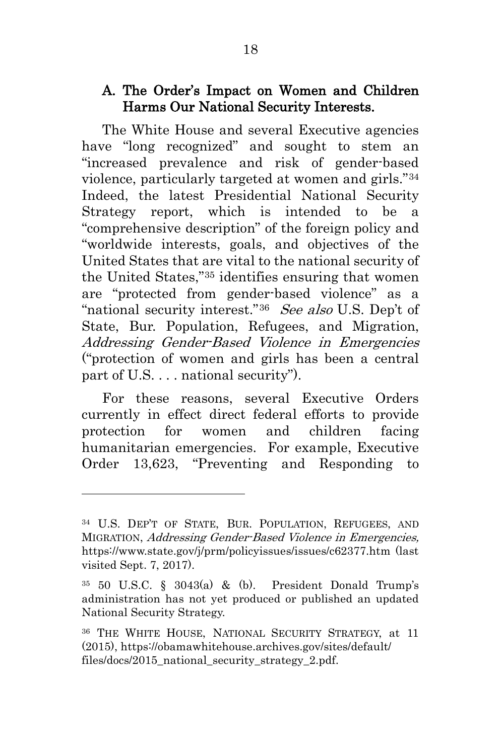#### <span id="page-26-0"></span>A. The Order's Impact on Women and Children Harms Our National Security Interests.

The White House and several Executive agencies have "long recognized" and sought to stem an "increased prevalence and risk of gender-based violence, particularly targeted at women and girls."[34](#page-26-5) Indeed, the latest Presidential National Security Strategy report, which is intended to be a "comprehensive description" of the foreign policy and "worldwide interests, goals, and objectives of the United States that are vital to the national security of the United States,"[35](#page-26-6) identifies ensuring that women are "protected from gender-based violence" as a "national security interest."<sup>[36](#page-26-7)</sup> See also U.S. Dep't of State, Bur. Population, Refugees, and Migration, Addressing Gender-Based Violence in Emergencies ("protection of women and girls has been a central part of U.S. . . . national security").

<span id="page-26-2"></span>For these reasons, several Executive Orders currently in effect direct federal efforts to provide protection for women and children facing humanitarian emergencies. For example, Executive Order 13,623, "Preventing and Responding to

<span id="page-26-5"></span><span id="page-26-4"></span><sup>34</sup> U.S. DEP'T OF STATE, BUR. POPULATION, REFUGEES, AND MIGRATION, Addressing Gender-Based Violence in Emergencies, https://www.state.gov/j/prm/policyissues/issues/c62377.htm (last visited Sept. 7, 2017).

<span id="page-26-6"></span><span id="page-26-1"></span><sup>35</sup> 50 U.S.C. § 3043(a) & (b). President Donald Trump's administration has not yet produced or published an updated National Security Strategy.

<span id="page-26-7"></span><span id="page-26-3"></span><sup>36</sup> THE WHITE HOUSE, NATIONAL SECURITY STRATEGY, at 11 (2015), https://obamawhitehouse.archives.gov/sites/default/ files/docs/2015 national security strategy 2.pdf.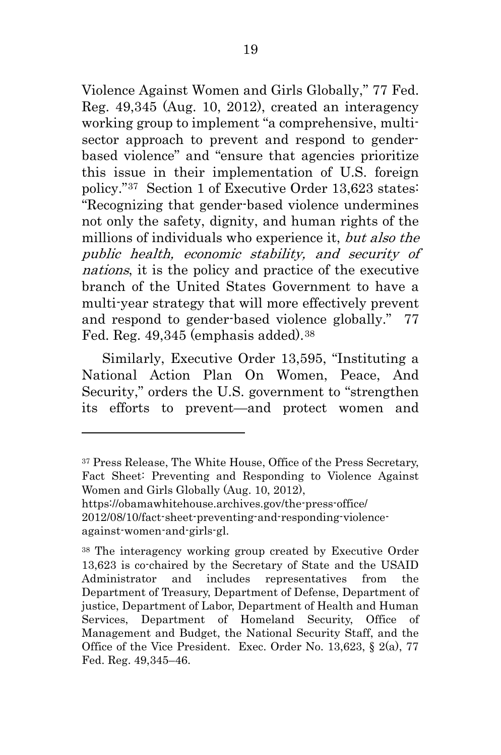Violence Against Women and Girls Globally," 77 Fed. Reg. 49,345 (Aug. 10, 2012), created an interagency working group to implement "a comprehensive, multisector approach to prevent and respond to genderbased violence" and "ensure that agencies prioritize this issue in their implementation of U.S. foreign policy."[37](#page-27-3) Section 1 of Executive Order 13,623 states: "Recognizing that gender-based violence undermines not only the safety, dignity, and human rights of the millions of individuals who experience it, but also the public health, economic stability, and security of nations, it is the policy and practice of the executive branch of the United States Government to have a multi-year strategy that will more effectively prevent and respond to gender-based violence globally." 77 Fed. Reg. 49,345 (emphasis added).<sup>[38](#page-27-4)</sup>

<span id="page-27-0"></span>Similarly, Executive Order 13,595, "Instituting a National Action Plan On Women, Peace, And Security," orders the U.S. government to "strengthen its efforts to prevent—and protect women and

<span id="page-27-3"></span><span id="page-27-2"></span><sup>37</sup> Press Release, The White House, Office of the Press Secretary, Fact Sheet: Preventing and Responding to Violence Against Women and Girls Globally (Aug. 10, 2012),

https://obamawhitehouse.archives.gov/the-press-office/

<sup>2012/08/10/</sup>fact-sheet-preventing-and-responding-violenceagainst-women-and-girls-gl.

<span id="page-27-4"></span><span id="page-27-1"></span><sup>38</sup> The interagency working group created by Executive Order 13,623 is co-chaired by the Secretary of State and the USAID Administrator and includes representatives from the Department of Treasury, Department of Defense, Department of justice, Department of Labor, Department of Health and Human Services, Department of Homeland Security, Office of Management and Budget, the National Security Staff, and the Office of the Vice President. Exec. Order No. 13,623,  $\S$  2(a), 77 Fed. Reg. 49,345–46.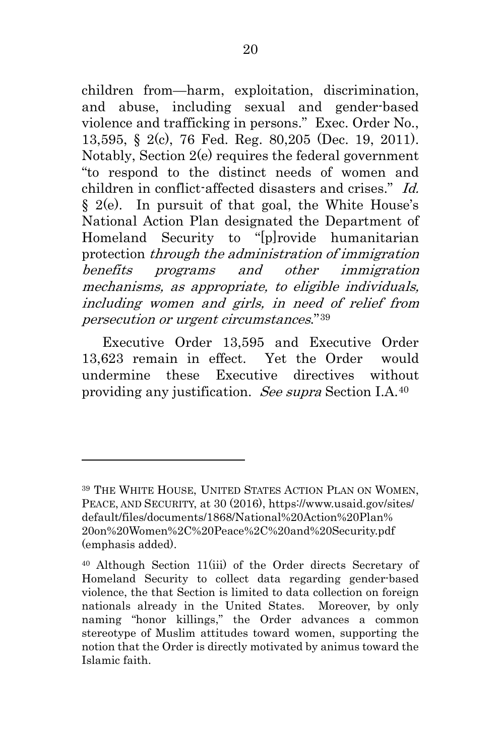children from—harm, exploitation, discrimination, and abuse, including sexual and gender-based violence and trafficking in persons." Exec. Order No., 13,595, § 2(c), 76 Fed. Reg. 80,205 (Dec. 19, 2011). Notably, Section 2(e) requires the federal government "to respond to the distinct needs of women and children in conflict-affected disasters and crises." Id. § 2(e). In pursuit of that goal, the White House's National Action Plan designated the Department of Homeland Security to "[p]rovide humanitarian protection through the administration of immigration benefits programs and other immigration mechanisms, as appropriate, to eligible individuals, including women and girls, in need of relief from persecution or urgent circumstances."[39](#page-28-3) 

<span id="page-28-1"></span><span id="page-28-0"></span>Executive Order 13,595 and Executive Order 13,623 remain in effect. Yet the Order would undermine these Executive directives without providing any justification. See supra Section I.A.[40](#page-28-4)

<span id="page-28-3"></span><span id="page-28-2"></span><sup>39</sup> THE WHITE HOUSE, UNITED STATES ACTION PLAN ON WOMEN, PEACE, AND SECURITY, at 30 (2016), https://www.usaid.gov/sites/ default/files/documents/1868/National%20Action%20Plan% 20on%20Women%2C%20Peace%2C%20and%20Security.pdf (emphasis added).

<span id="page-28-4"></span><sup>40</sup> Although Section 11(iii) of the Order directs Secretary of Homeland Security to collect data regarding gender-based violence, the that Section is limited to data collection on foreign nationals already in the United States. Moreover, by only naming "honor killings," the Order advances a common stereotype of Muslim attitudes toward women, supporting the notion that the Order is directly motivated by animus toward the Islamic faith.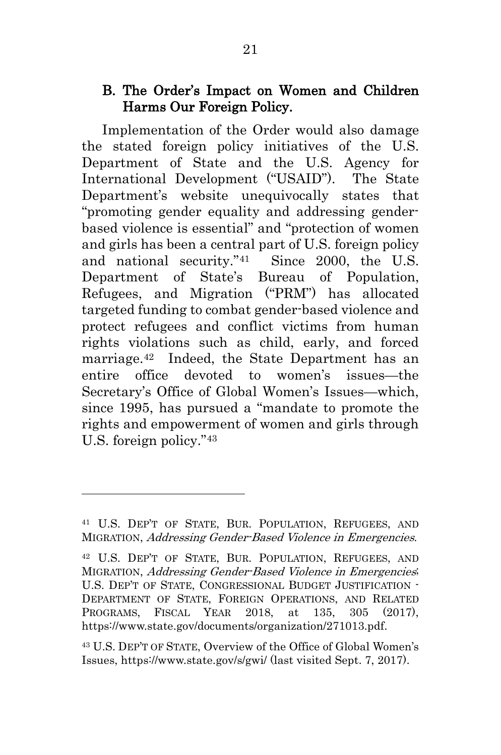#### <span id="page-29-0"></span>B. The Order's Impact on Women and Children Harms Our Foreign Policy.

Implementation of the Order would also damage the stated foreign policy initiatives of the U.S. Department of State and the U.S. Agency for International Development ("USAID"). The State Department's website unequivocally states that "promoting gender equality and addressing genderbased violence is essential" and "protection of women and girls has been a central part of U.S. foreign policy and national security."[41](#page-29-4) Since 2000, the U.S. Department of State's Bureau of Population, Refugees, and Migration ("PRM") has allocated targeted funding to combat gender-based violence and protect refugees and conflict victims from human rights violations such as child, early, and forced marriage.[42](#page-29-5) Indeed, the State Department has an entire office devoted to women's issues—the Secretary's Office of Global Women's Issues—which, since 1995, has pursued a "mandate to promote the rights and empowerment of women and girls through U.S. foreign policy."[43](#page-29-6)

<span id="page-29-4"></span><span id="page-29-1"></span><sup>41</sup> U.S. DEP'T OF STATE, BUR. POPULATION, REFUGEES, AND MIGRATION, Addressing Gender-Based Violence in Emergencies.

<span id="page-29-5"></span><span id="page-29-2"></span><sup>42</sup> U.S. DEP'T OF STATE, BUR. POPULATION, REFUGEES, AND MIGRATION, Addressing Gender-Based Violence in Emergencies; U.S. DEP'T OF STATE, CONGRESSIONAL BUDGET JUSTIFICATION - DEPARTMENT OF STATE, FOREIGN OPERATIONS, AND RELATED PROGRAMS, FISCAL YEAR 2018, at 135, 305 (2017), https://www.state.gov/documents/organization/271013.pdf.

<span id="page-29-6"></span><span id="page-29-3"></span><sup>43</sup> U.S. DEP'T OF STATE, Overview of the Office of Global Women's Issues, https://www.state.gov/s/gwi/ (last visited Sept. 7, 2017).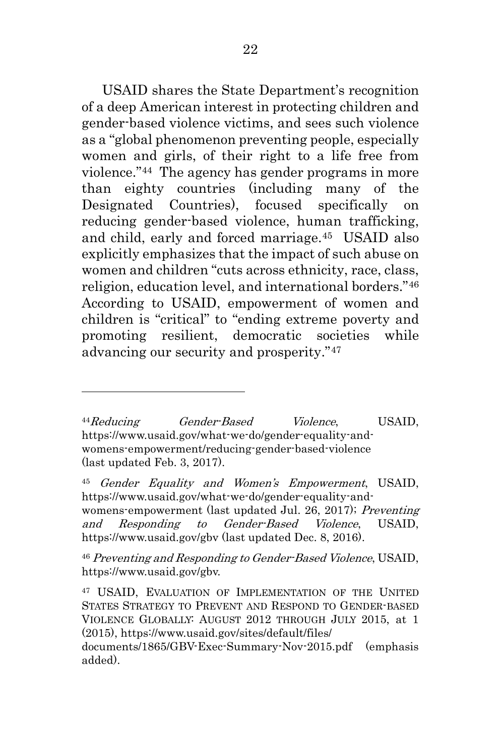USAID shares the State Department's recognition of a deep American interest in protecting children and gender-based violence victims, and sees such violence as a "global phenomenon preventing people, especially women and girls, of their right to a life free from violence."[44](#page-30-4) The agency has gender programs in more than eighty countries (including many of the Designated Countries), focused specifically on reducing gender-based violence, human trafficking, and child, early and forced marriage.[45](#page-30-5) USAID also explicitly emphasizes that the impact of such abuse on women and children "cuts across ethnicity, race, class, religion, education level, and international borders."[46](#page-30-6) According to USAID, empowerment of women and children is "critical" to "ending extreme poverty and promoting resilient, democratic societies while advancing our security and prosperity."[47](#page-30-7)

<span id="page-30-4"></span><span id="page-30-2"></span><sup>44</sup>Reducing Gender-Based Violence, USAID, https://www.usaid.gov/what-we-do/gender-equality-andwomens-empowerment/reducing-gender-based-violence (last updated Feb. 3, 2017).

 $\overline{a}$ 

<span id="page-30-5"></span><span id="page-30-1"></span><span id="page-30-0"></span><sup>45</sup> Gender Equality and Women's Empowerment, USAID, https://www.usaid.gov/what-we-do/gender-equality-andwomens-empowerment (last updated Jul. 26, 2017); Preventing and Responding to Gender-Based Violence, USAID, https://www.usaid.gov/gbv (last updated Dec. 8, 2016).

<span id="page-30-6"></span><sup>46</sup> Preventing and Responding to Gender-Based Violence, USAID, https://www.usaid.gov/gbv.

<span id="page-30-7"></span><span id="page-30-3"></span><sup>47</sup> USAID, EVALUATION OF IMPLEMENTATION OF THE UNITED STATES STRATEGY TO PREVENT AND RESPOND TO GENDER-BASED VIOLENCE GLOBALLY: AUGUST 2012 THROUGH JULY 2015, at 1 (2015), https://www.usaid.gov/sites/default/files/

documents/1865/GBV-Exec-Summary-Nov-2015.pdf (emphasis added).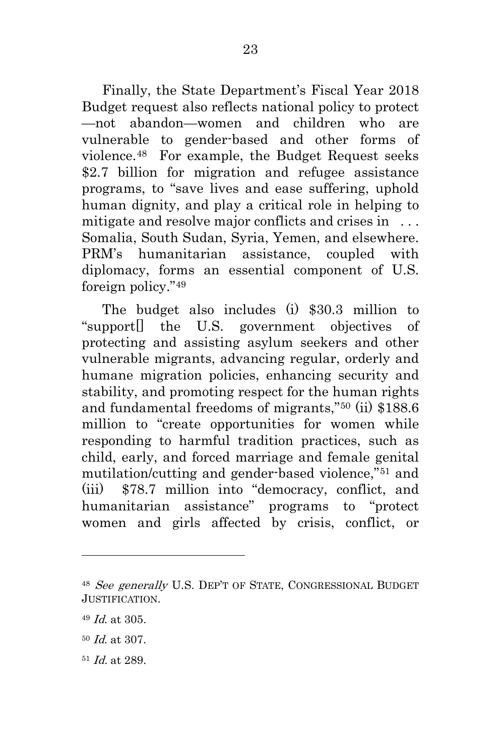Finally, the State Department's Fiscal Year 2018 Budget request also reflects national policy to protect —not abandon—women and children who are vulnerable to gender-based and other forms of violence[.48](#page-31-0) For example, the Budget Request seeks \$2.7 billion for migration and refugee assistance programs, to "save lives and ease suffering, uphold human dignity, and play a critical role in helping to mitigate and resolve major conflicts and crises in ... Somalia, South Sudan, Syria, Yemen, and elsewhere. PRM's humanitarian assistance, coupled with diplomacy, forms an essential component of U.S. foreign policy."[49](#page-31-1) 

The budget also includes (i) \$30.3 million to "support[] the U.S. government objectives of protecting and assisting asylum seekers and other vulnerable migrants, advancing regular, orderly and humane migration policies, enhancing security and stability, and promoting respect for the human rights and fundamental freedoms of migrants,"[50](#page-31-2) (ii) \$188.6 million to "create opportunities for women while responding to harmful tradition practices, such as child, early, and forced marriage and female genital mutilation/cutting and gender-based violence,"[51](#page-31-3) and (iii) \$78.7 million into "democracy, conflict, and humanitarian assistance" programs to "protect women and girls affected by crisis, conflict, or

<span id="page-31-0"></span><sup>48</sup> See generally U.S. DEP'T OF STATE, CONGRESSIONAL BUDGET JUSTIFICATION.

<span id="page-31-1"></span><sup>49</sup> Id. at 305.

<span id="page-31-2"></span><sup>50</sup> Id. at 307.

<span id="page-31-3"></span><sup>51</sup> Id. at 289.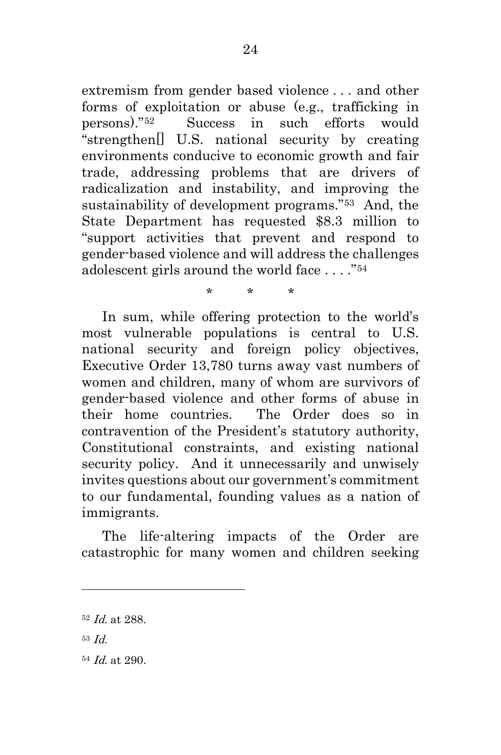extremism from gender based violence . . . and other forms of exploitation or abuse (e.g., trafficking in persons)."[52](#page-32-0) Success in such efforts would "strengthen[] U.S. national security by creating environments conducive to economic growth and fair trade, addressing problems that are drivers of radicalization and instability, and improving the sustainability of development programs."[53](#page-32-1) And, the State Department has requested \$8.3 million to "support activities that prevent and respond to gender-based violence and will address the challenges adolescent girls around the world face . . . ."[54](#page-32-2)

In sum, while offering protection to the world's most vulnerable populations is central to U.S. national security and foreign policy objectives, Executive Order 13,780 turns away vast numbers of women and children, many of whom are survivors of gender-based violence and other forms of abuse in their home countries. The Order does so in contravention of the President's statutory authority, Constitutional constraints, and existing national security policy. And it unnecessarily and unwisely invites questions about our government's commitment to our fundamental, founding values as a nation of immigrants.

\* \* \*

The life-altering impacts of the Order are catastrophic for many women and children seeking

<span id="page-32-0"></span><sup>52</sup> Id. at 288.

<span id="page-32-1"></span><sup>53</sup> Id.

<span id="page-32-2"></span><sup>54</sup> Id. at 290.